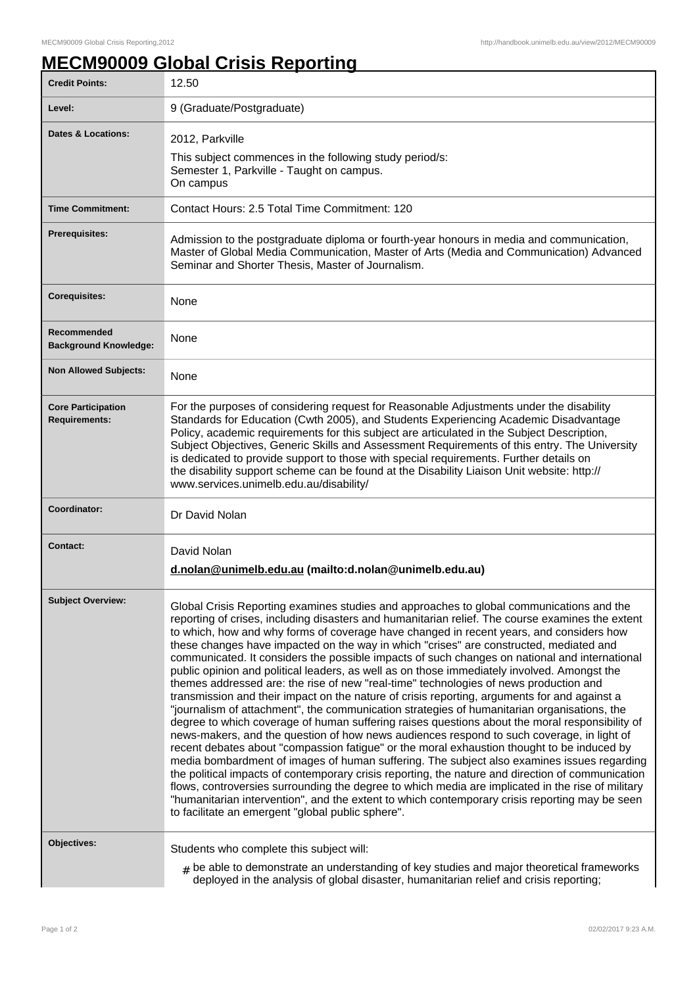## **MECM90009 Global Crisis Reporting**

| <b>Credit Points:</b>                             | 12.50                                                                                                                                                                                                                                                                                                                                                                                                                                                                                                                                                                                                                                                                                                                                                                                                                                                                                                                                                                                                                                                                                                                                                                                                                                                                                                                                                                                                                                                                                                                                                                                                                                 |
|---------------------------------------------------|---------------------------------------------------------------------------------------------------------------------------------------------------------------------------------------------------------------------------------------------------------------------------------------------------------------------------------------------------------------------------------------------------------------------------------------------------------------------------------------------------------------------------------------------------------------------------------------------------------------------------------------------------------------------------------------------------------------------------------------------------------------------------------------------------------------------------------------------------------------------------------------------------------------------------------------------------------------------------------------------------------------------------------------------------------------------------------------------------------------------------------------------------------------------------------------------------------------------------------------------------------------------------------------------------------------------------------------------------------------------------------------------------------------------------------------------------------------------------------------------------------------------------------------------------------------------------------------------------------------------------------------|
| Level:                                            | 9 (Graduate/Postgraduate)                                                                                                                                                                                                                                                                                                                                                                                                                                                                                                                                                                                                                                                                                                                                                                                                                                                                                                                                                                                                                                                                                                                                                                                                                                                                                                                                                                                                                                                                                                                                                                                                             |
| Dates & Locations:                                | 2012, Parkville<br>This subject commences in the following study period/s:<br>Semester 1, Parkville - Taught on campus.<br>On campus                                                                                                                                                                                                                                                                                                                                                                                                                                                                                                                                                                                                                                                                                                                                                                                                                                                                                                                                                                                                                                                                                                                                                                                                                                                                                                                                                                                                                                                                                                  |
| <b>Time Commitment:</b>                           | Contact Hours: 2.5 Total Time Commitment: 120                                                                                                                                                                                                                                                                                                                                                                                                                                                                                                                                                                                                                                                                                                                                                                                                                                                                                                                                                                                                                                                                                                                                                                                                                                                                                                                                                                                                                                                                                                                                                                                         |
| <b>Prerequisites:</b>                             | Admission to the postgraduate diploma or fourth-year honours in media and communication,<br>Master of Global Media Communication, Master of Arts (Media and Communication) Advanced<br>Seminar and Shorter Thesis, Master of Journalism.                                                                                                                                                                                                                                                                                                                                                                                                                                                                                                                                                                                                                                                                                                                                                                                                                                                                                                                                                                                                                                                                                                                                                                                                                                                                                                                                                                                              |
| <b>Corequisites:</b>                              | None                                                                                                                                                                                                                                                                                                                                                                                                                                                                                                                                                                                                                                                                                                                                                                                                                                                                                                                                                                                                                                                                                                                                                                                                                                                                                                                                                                                                                                                                                                                                                                                                                                  |
| Recommended<br><b>Background Knowledge:</b>       | None                                                                                                                                                                                                                                                                                                                                                                                                                                                                                                                                                                                                                                                                                                                                                                                                                                                                                                                                                                                                                                                                                                                                                                                                                                                                                                                                                                                                                                                                                                                                                                                                                                  |
| <b>Non Allowed Subjects:</b>                      | None                                                                                                                                                                                                                                                                                                                                                                                                                                                                                                                                                                                                                                                                                                                                                                                                                                                                                                                                                                                                                                                                                                                                                                                                                                                                                                                                                                                                                                                                                                                                                                                                                                  |
| <b>Core Participation</b><br><b>Requirements:</b> | For the purposes of considering request for Reasonable Adjustments under the disability<br>Standards for Education (Cwth 2005), and Students Experiencing Academic Disadvantage<br>Policy, academic requirements for this subject are articulated in the Subject Description,<br>Subject Objectives, Generic Skills and Assessment Requirements of this entry. The University<br>is dedicated to provide support to those with special requirements. Further details on<br>the disability support scheme can be found at the Disability Liaison Unit website: http://<br>www.services.unimelb.edu.au/disability/                                                                                                                                                                                                                                                                                                                                                                                                                                                                                                                                                                                                                                                                                                                                                                                                                                                                                                                                                                                                                      |
| Coordinator:                                      | Dr David Nolan                                                                                                                                                                                                                                                                                                                                                                                                                                                                                                                                                                                                                                                                                                                                                                                                                                                                                                                                                                                                                                                                                                                                                                                                                                                                                                                                                                                                                                                                                                                                                                                                                        |
| <b>Contact:</b>                                   | David Nolan<br>d.nolan@unimelb.edu.au (mailto:d.nolan@unimelb.edu.au)                                                                                                                                                                                                                                                                                                                                                                                                                                                                                                                                                                                                                                                                                                                                                                                                                                                                                                                                                                                                                                                                                                                                                                                                                                                                                                                                                                                                                                                                                                                                                                 |
| <b>Subject Overview:</b>                          | Global Crisis Reporting examines studies and approaches to global communications and the<br>reporting of crises, including disasters and humanitarian relief. The course examines the extent<br>to which, how and why forms of coverage have changed in recent years, and considers how<br>these changes have impacted on the way in which "crises" are constructed, mediated and<br>communicated. It considers the possible impacts of such changes on national and international<br>public opinion and political leaders, as well as on those immediately involved. Amongst the<br>themes addressed are: the rise of new "real-time" technologies of news production and<br>transmission and their impact on the nature of crisis reporting, arguments for and against a<br>"journalism of attachment", the communication strategies of humanitarian organisations, the<br>degree to which coverage of human suffering raises questions about the moral responsibility of<br>news-makers, and the question of how news audiences respond to such coverage, in light of<br>recent debates about "compassion fatigue" or the moral exhaustion thought to be induced by<br>media bombardment of images of human suffering. The subject also examines issues regarding<br>the political impacts of contemporary crisis reporting, the nature and direction of communication<br>flows, controversies surrounding the degree to which media are implicated in the rise of military<br>"humanitarian intervention", and the extent to which contemporary crisis reporting may be seen<br>to facilitate an emergent "global public sphere". |
| Objectives:                                       | Students who complete this subject will:<br>$_{\#}$ be able to demonstrate an understanding of key studies and major theoretical frameworks<br>deployed in the analysis of global disaster, humanitarian relief and crisis reporting;                                                                                                                                                                                                                                                                                                                                                                                                                                                                                                                                                                                                                                                                                                                                                                                                                                                                                                                                                                                                                                                                                                                                                                                                                                                                                                                                                                                                 |